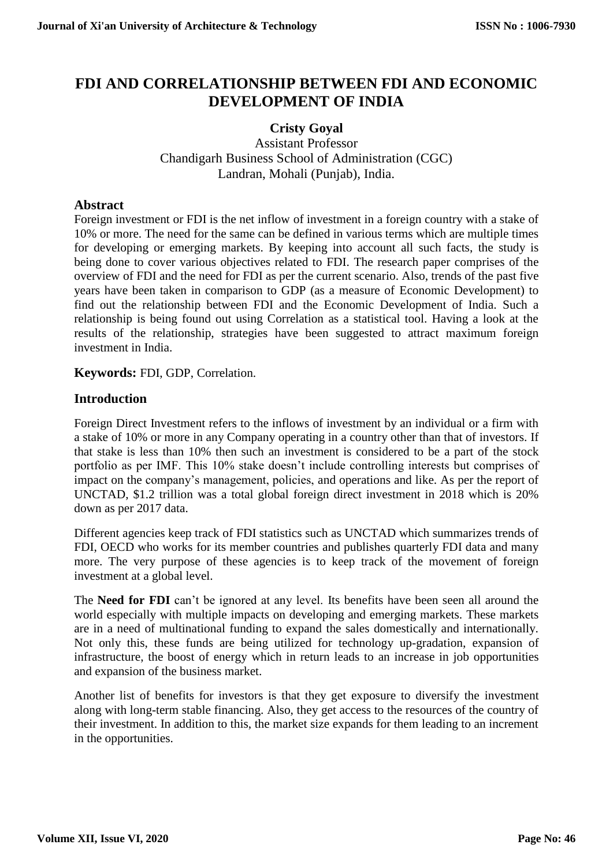# **FDI AND CORRELATIONSHIP BETWEEN FDI AND ECONOMIC DEVELOPMENT OF INDIA**

## **Cristy Goyal**

Assistant Professor Chandigarh Business School of Administration (CGC) Landran, Mohali (Punjab), India.

### **Abstract**

Foreign investment or FDI is the net inflow of investment in a foreign country with a stake of 10% or more. The need for the same can be defined in various terms which are multiple times for developing or emerging markets. By keeping into account all such facts, the study is being done to cover various objectives related to FDI. The research paper comprises of the overview of FDI and the need for FDI as per the current scenario. Also, trends of the past five years have been taken in comparison to GDP (as a measure of Economic Development) to find out the relationship between FDI and the Economic Development of India. Such a relationship is being found out using Correlation as a statistical tool. Having a look at the results of the relationship, strategies have been suggested to attract maximum foreign investment in India.

**Keywords:** FDI, GDP, Correlation.

## **Introduction**

Foreign Direct Investment refers to the inflows of investment by an individual or a firm with a stake of 10% or more in any Company operating in a country other than that of investors. If that stake is less than 10% then such an investment is considered to be a part of the stock portfolio as per IMF. This 10% stake doesn't include controlling interests but comprises of impact on the company's management, policies, and operations and like. As per the report of UNCTAD, \$1.2 trillion was a total global foreign direct investment in 2018 which is 20% down as per 2017 data.

Different agencies keep track of FDI statistics such as UNCTAD which summarizes trends of FDI, OECD who works for its member countries and publishes quarterly FDI data and many more. The very purpose of these agencies is to keep track of the movement of foreign investment at a global level.

The **Need for FDI** can't be ignored at any level. Its benefits have been seen all around the world especially with multiple impacts on developing and emerging markets. These markets are in a need of multinational funding to expand the sales domestically and internationally. Not only this, these funds are being utilized for technology up-gradation, expansion of infrastructure, the boost of energy which in return leads to an increase in job opportunities and expansion of the business market.

Another list of benefits for investors is that they get exposure to diversify the investment along with long-term stable financing. Also, they get access to the resources of the country of their investment. In addition to this, the market size expands for them leading to an increment in the opportunities.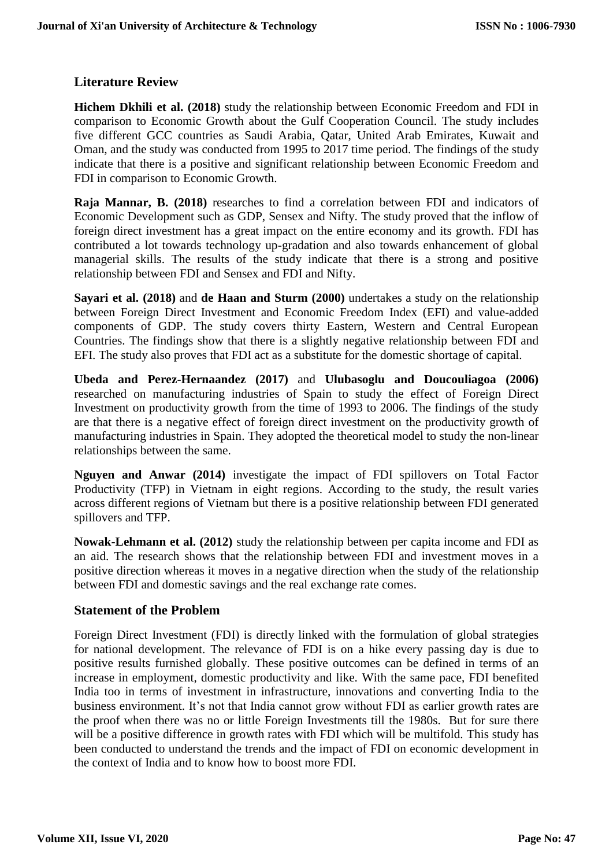## **Literature Review**

**Hichem Dkhili et al. (2018)** study the relationship between Economic Freedom and FDI in comparison to Economic Growth about the Gulf Cooperation Council. The study includes five different GCC countries as Saudi Arabia, Qatar, United Arab Emirates, Kuwait and Oman, and the study was conducted from 1995 to 2017 time period. The findings of the study indicate that there is a positive and significant relationship between Economic Freedom and FDI in comparison to Economic Growth.

**Raja Mannar, B. (2018)** researches to find a correlation between FDI and indicators of Economic Development such as GDP, Sensex and Nifty. The study proved that the inflow of foreign direct investment has a great impact on the entire economy and its growth. FDI has contributed a lot towards technology up-gradation and also towards enhancement of global managerial skills. The results of the study indicate that there is a strong and positive relationship between FDI and Sensex and FDI and Nifty.

**Sayari et al. (2018)** and **de Haan and Sturm (2000)** undertakes a study on the relationship between Foreign Direct Investment and Economic Freedom Index (EFI) and value-added components of GDP. The study covers thirty Eastern, Western and Central European Countries. The findings show that there is a slightly negative relationship between FDI and EFI. The study also proves that FDI act as a substitute for the domestic shortage of capital.

**Ubeda and Perez-Hernaandez (2017)** and **Ulubasoglu and Doucouliagoa (2006)** researched on manufacturing industries of Spain to study the effect of Foreign Direct Investment on productivity growth from the time of 1993 to 2006. The findings of the study are that there is a negative effect of foreign direct investment on the productivity growth of manufacturing industries in Spain. They adopted the theoretical model to study the non-linear relationships between the same.

**Nguyen and Anwar (2014)** investigate the impact of FDI spillovers on Total Factor Productivity (TFP) in Vietnam in eight regions. According to the study, the result varies across different regions of Vietnam but there is a positive relationship between FDI generated spillovers and TFP.

**Nowak-Lehmann et al. (2012)** study the relationship between per capita income and FDI as an aid. The research shows that the relationship between FDI and investment moves in a positive direction whereas it moves in a negative direction when the study of the relationship between FDI and domestic savings and the real exchange rate comes.

## **Statement of the Problem**

Foreign Direct Investment (FDI) is directly linked with the formulation of global strategies for national development. The relevance of FDI is on a hike every passing day is due to positive results furnished globally. These positive outcomes can be defined in terms of an increase in employment, domestic productivity and like. With the same pace, FDI benefited India too in terms of investment in infrastructure, innovations and converting India to the business environment. It's not that India cannot grow without FDI as earlier growth rates are the proof when there was no or little Foreign Investments till the 1980s. But for sure there will be a positive difference in growth rates with FDI which will be multifold. This study has been conducted to understand the trends and the impact of FDI on economic development in the context of India and to know how to boost more FDI.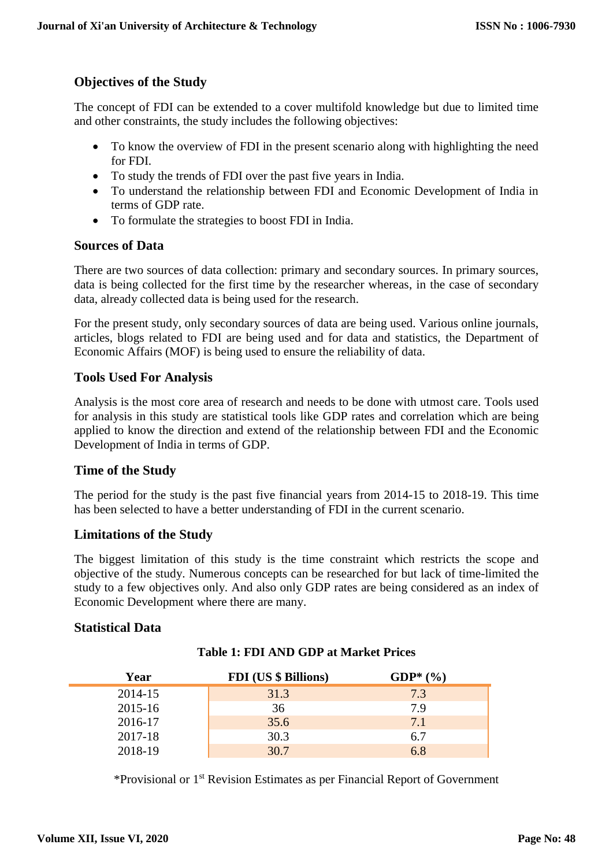## **Objectives of the Study**

The concept of FDI can be extended to a cover multifold knowledge but due to limited time and other constraints, the study includes the following objectives:

- To know the overview of FDI in the present scenario along with highlighting the need for FDI.
- To study the trends of FDI over the past five years in India.
- To understand the relationship between FDI and Economic Development of India in terms of GDP rate.
- To formulate the strategies to boost FDI in India.

### **Sources of Data**

There are two sources of data collection: primary and secondary sources. In primary sources, data is being collected for the first time by the researcher whereas, in the case of secondary data, already collected data is being used for the research.

For the present study, only secondary sources of data are being used. Various online journals, articles, blogs related to FDI are being used and for data and statistics, the Department of Economic Affairs (MOF) is being used to ensure the reliability of data.

## **Tools Used For Analysis**

Analysis is the most core area of research and needs to be done with utmost care. Tools used for analysis in this study are statistical tools like GDP rates and correlation which are being applied to know the direction and extend of the relationship between FDI and the Economic Development of India in terms of GDP.

#### **Time of the Study**

The period for the study is the past five financial years from 2014-15 to 2018-19. This time has been selected to have a better understanding of FDI in the current scenario.

## **Limitations of the Study**

The biggest limitation of this study is the time constraint which restricts the scope and objective of the study. Numerous concepts can be researched for but lack of time-limited the study to a few objectives only. And also only GDP rates are being considered as an index of Economic Development where there are many.

#### **Statistical Data**

| Year    | <b>FDI</b> (US \$ Billions) | $GDP^*(\%)$ |
|---------|-----------------------------|-------------|
| 2014-15 | 31.3                        | 7.3         |
| 2015-16 | 36                          | 7 9         |
| 2016-17 | 35.6                        | 7.1         |
| 2017-18 | 30.3                        | 6.7         |
| 2018-19 | 30.7                        | 6.8         |

#### **Table 1: FDI AND GDP at Market Prices**

\*Provisional or 1st Revision Estimates as per Financial Report of Government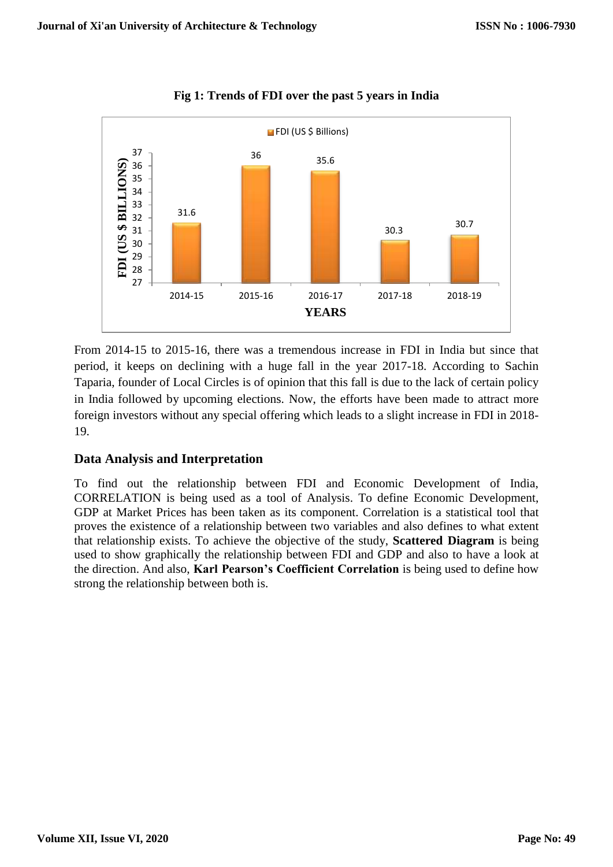

**Fig 1: Trends of FDI over the past 5 years in India**

From 2014-15 to 2015-16, there was a tremendous increase in FDI in India but since that period, it keeps on declining with a huge fall in the year 2017-18. According to Sachin Taparia, founder of Local Circles is of opinion that this fall is due to the lack of certain policy in India followed by upcoming elections. Now, the efforts have been made to attract more foreign investors without any special offering which leads to a slight increase in FDI in 2018- 19.

## **Data Analysis and Interpretation**

To find out the relationship between FDI and Economic Development of India, CORRELATION is being used as a tool of Analysis. To define Economic Development, GDP at Market Prices has been taken as its component. Correlation is a statistical tool that proves the existence of a relationship between two variables and also defines to what extent that relationship exists. To achieve the objective of the study, **Scattered Diagram** is being used to show graphically the relationship between FDI and GDP and also to have a look at the direction. And also, **Karl Pearson's Coefficient Correlation** is being used to define how strong the relationship between both is.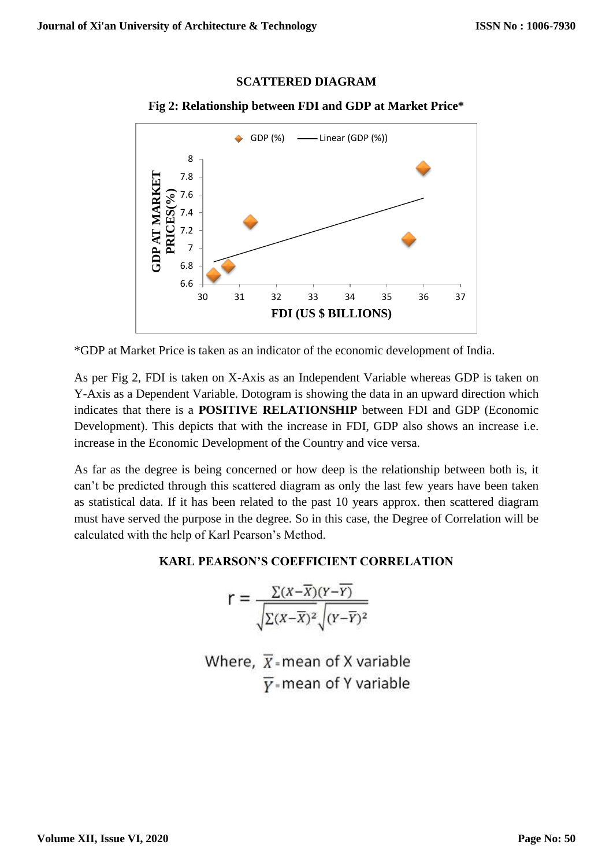## **SCATTERED DIAGRAM**



## **Fig 2: Relationship between FDI and GDP at Market Price\***

\*GDP at Market Price is taken as an indicator of the economic development of India.

As per Fig 2, FDI is taken on X-Axis as an Independent Variable whereas GDP is taken on Y-Axis as a Dependent Variable. Dotogram is showing the data in an upward direction which indicates that there is a **POSITIVE RELATIONSHIP** between FDI and GDP (Economic Development). This depicts that with the increase in FDI, GDP also shows an increase i.e. increase in the Economic Development of the Country and vice versa.

As far as the degree is being concerned or how deep is the relationship between both is, it can't be predicted through this scattered diagram as only the last few years have been taken as statistical data. If it has been related to the past 10 years approx. then scattered diagram must have served the purpose in the degree. So in this case, the Degree of Correlation will be calculated with the help of Karl Pearson's Method.

## **KARL PEARSON'S COEFFICIENT CORRELATION**

$$
r = \frac{\sum (X - \overline{X})(Y - \overline{Y})}{\sqrt{\sum (X - \overline{X})^2} \sqrt{(Y - \overline{Y})^2}}
$$

Where,  $\overline{X}$ -mean of X variable  $\overline{Y}$ =mean of Y variable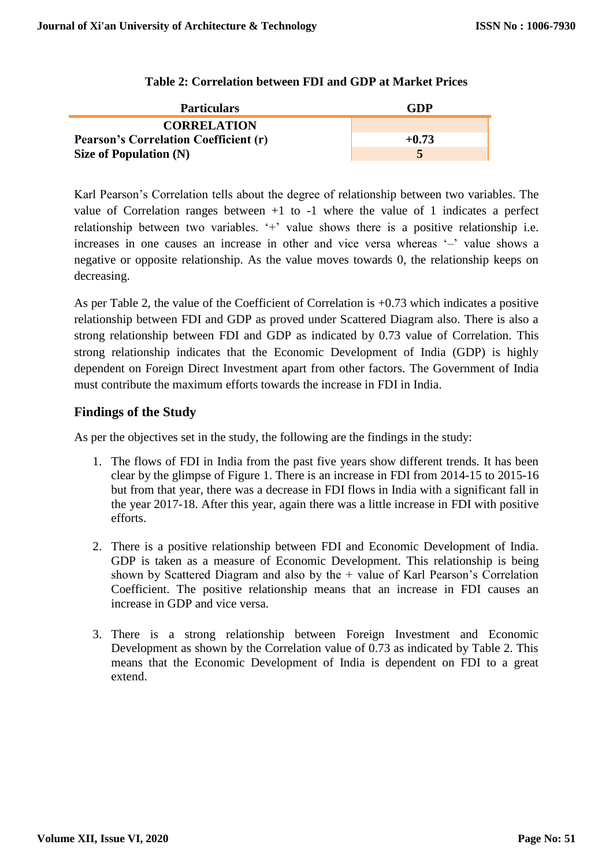| <b>Particulars</b>                           | GDP        |
|----------------------------------------------|------------|
| <b>CORRELATION</b>                           |            |
| <b>Pearson's Correlation Coefficient (r)</b> | $+0.73$    |
| Size of Population $(N)$                     | $\sqrt{2}$ |

Karl Pearson's Correlation tells about the degree of relationship between two variables. The value of Correlation ranges between +1 to -1 where the value of 1 indicates a perfect relationship between two variables. '+' value shows there is a positive relationship i.e. increases in one causes an increase in other and vice versa whereas '–' value shows a negative or opposite relationship. As the value moves towards 0, the relationship keeps on decreasing.

As per Table 2, the value of the Coefficient of Correlation is +0.73 which indicates a positive relationship between FDI and GDP as proved under Scattered Diagram also. There is also a strong relationship between FDI and GDP as indicated by 0.73 value of Correlation. This strong relationship indicates that the Economic Development of India (GDP) is highly dependent on Foreign Direct Investment apart from other factors. The Government of India must contribute the maximum efforts towards the increase in FDI in India.

### **Findings of the Study**

As per the objectives set in the study, the following are the findings in the study:

- 1. The flows of FDI in India from the past five years show different trends. It has been clear by the glimpse of Figure 1. There is an increase in FDI from 2014-15 to 2015-16 but from that year, there was a decrease in FDI flows in India with a significant fall in the year 2017-18. After this year, again there was a little increase in FDI with positive efforts.
- 2. There is a positive relationship between FDI and Economic Development of India. GDP is taken as a measure of Economic Development. This relationship is being shown by Scattered Diagram and also by the + value of Karl Pearson's Correlation Coefficient. The positive relationship means that an increase in FDI causes an increase in GDP and vice versa.
- 3. There is a strong relationship between Foreign Investment and Economic Development as shown by the Correlation value of 0.73 as indicated by Table 2. This means that the Economic Development of India is dependent on FDI to a great extend.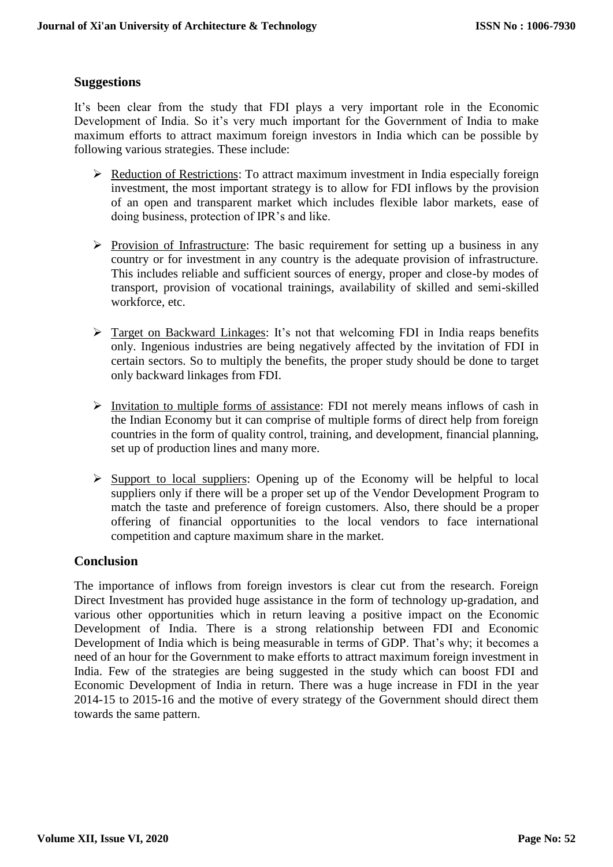## **Suggestions**

It's been clear from the study that FDI plays a very important role in the Economic Development of India. So it's very much important for the Government of India to make maximum efforts to attract maximum foreign investors in India which can be possible by following various strategies. These include:

- $\triangleright$  Reduction of Restrictions: To attract maximum investment in India especially foreign investment, the most important strategy is to allow for FDI inflows by the provision of an open and transparent market which includes flexible labor markets, ease of doing business, protection of IPR's and like.
- $\triangleright$  Provision of Infrastructure: The basic requirement for setting up a business in any country or for investment in any country is the adequate provision of infrastructure. This includes reliable and sufficient sources of energy, proper and close-by modes of transport, provision of vocational trainings, availability of skilled and semi-skilled workforce, etc.
- $\triangleright$  Target on Backward Linkages: It's not that welcoming FDI in India reaps benefits only. Ingenious industries are being negatively affected by the invitation of FDI in certain sectors. So to multiply the benefits, the proper study should be done to target only backward linkages from FDI.
- $\triangleright$  Invitation to multiple forms of assistance: FDI not merely means inflows of cash in the Indian Economy but it can comprise of multiple forms of direct help from foreign countries in the form of quality control, training, and development, financial planning, set up of production lines and many more.
- $\triangleright$  Support to local suppliers: Opening up of the Economy will be helpful to local suppliers only if there will be a proper set up of the Vendor Development Program to match the taste and preference of foreign customers. Also, there should be a proper offering of financial opportunities to the local vendors to face international competition and capture maximum share in the market.

## **Conclusion**

The importance of inflows from foreign investors is clear cut from the research. Foreign Direct Investment has provided huge assistance in the form of technology up-gradation, and various other opportunities which in return leaving a positive impact on the Economic Development of India. There is a strong relationship between FDI and Economic Development of India which is being measurable in terms of GDP. That's why; it becomes a need of an hour for the Government to make efforts to attract maximum foreign investment in India. Few of the strategies are being suggested in the study which can boost FDI and Economic Development of India in return. There was a huge increase in FDI in the year 2014-15 to 2015-16 and the motive of every strategy of the Government should direct them towards the same pattern.